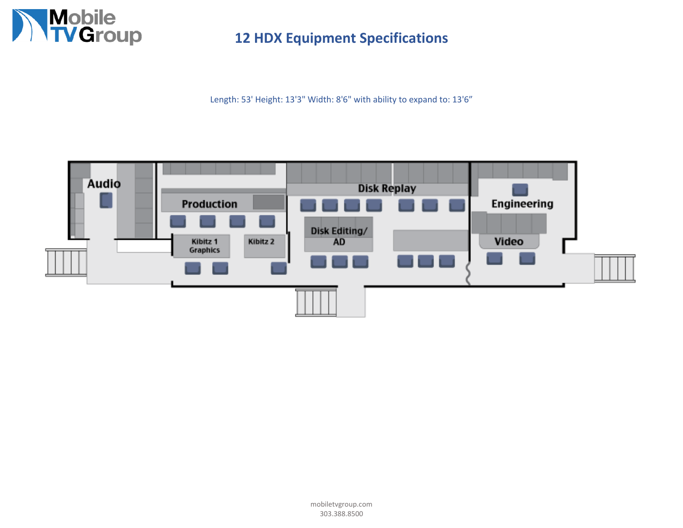

**12 HDX Equipment Specifications**

Length: 53' Height: 13'3" Width: 8'6" with ability to expand to: 13'6"